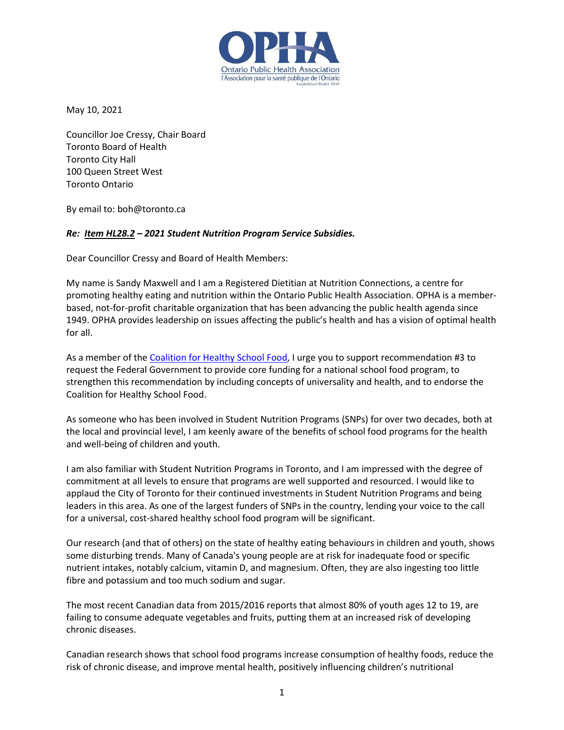

May 10, 2021

Councillor Joe Cressy, Chair Board Toronto Board of Health Toronto City Hall 100 Queen Street West Toronto Ontario

By email to: boh@toronto.ca

## *Re: [Item HL28.2](http://app.toronto.ca/tmmis/viewAgendaItemHistory.do?item=2021.HL28.2) – 2021 Student Nutrition Program Service Subsidies.*

Dear Councillor Cressy and Board of Health Members:

My name is Sandy Maxwell and I am a Registered Dietitian at Nutrition Connections, a centre for promoting healthy eating and nutrition within the Ontario Public Health Association. OPHA is a memberbased, not-for-profit charitable organization that has been advancing the public health agenda since 1949. OPHA provides leadership on issues affecting the public's health and has a vision of optimal health for all.

As a member of th[e Coalition for Healthy School](http://www.healthyschoolfood.ca/) Food, I urge you to support recommendation #3 to request the Federal Government to provide core funding for a national school food program, to strengthen this recommendation by including concepts of universality and health, and to endorse the Coalition for Healthy School Food.

As someone who has been involved in Student Nutrition Programs (SNPs) for over two decades, both at the local and provincial level, I am keenly aware of the benefits of school food programs for the health and well-being of children and youth.

I am also familiar with Student Nutrition Programs in Toronto, and I am impressed with the degree of commitment at all levels to ensure that programs are well supported and resourced. I would like to applaud the City of Toronto for their continued investments in Student Nutrition Programs and being leaders in this area. As one of the largest funders of SNPs in the country, lending your voice to the call for a universal, cost-shared healthy school food program will be significant.

Our research (and that of others) on the state of healthy eating behaviours in children and youth, shows some disturbing trends. Many of Canada's young people are at risk for inadequate food or specific nutrient intakes, notably calcium, vitamin D, and magnesium. Often, they are also ingesting too little fibre and potassium and too much sodium and sugar.

The most recent Canadian data from 2015/2016 reports that almost 80% of youth ages 12 to 19, are failing to consume adequate vegetables and fruits, putting them at an increased risk of developing chronic diseases.

Canadian research shows that school food programs increase consumption of healthy foods, reduce the risk of chronic disease, and improve mental health, positively influencing children's nutritional